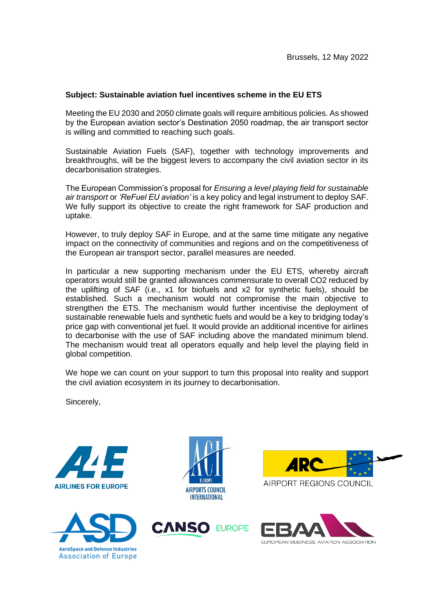## **Subject: Sustainable aviation fuel incentives scheme in the EU ETS**

Meeting the EU 2030 and 2050 climate goals will require ambitious policies. As showed by the European aviation sector's Destination 2050 roadmap, the air transport sector is willing and committed to reaching such goals.

Sustainable Aviation Fuels (SAF), together with technology improvements and breakthroughs, will be the biggest levers to accompany the civil aviation sector in its decarbonisation strategies.

The European Commission's proposal for *Ensuring a level playing field for sustainable air transport* or *'ReFuel EU aviation'* is a key policy and legal instrument to deploy SAF. We fully support its objective to create the right framework for SAF production and uptake.

However, to truly deploy SAF in Europe, and at the same time mitigate any negative impact on the connectivity of communities and regions and on the competitiveness of the European air transport sector, parallel measures are needed.

In particular a new supporting mechanism under the EU ETS, whereby aircraft operators would still be granted allowances commensurate to overall CO2 reduced by the uplifting of SAF (i.e., x1 for biofuels and x2 for synthetic fuels), should be established. Such a mechanism would not compromise the main objective to strengthen the ETS. The mechanism would further incentivise the deployment of sustainable renewable fuels and synthetic fuels and would be a key to bridging today's price gap with conventional jet fuel. It would provide an additional incentive for airlines to decarbonise with the use of SAF including above the mandated minimum blend. The mechanism would treat all operators equally and help level the playing field in global competition.

We hope we can count on your support to turn this proposal into reality and support the civil aviation ecosystem in its journey to decarbonisation.

Sincerely,